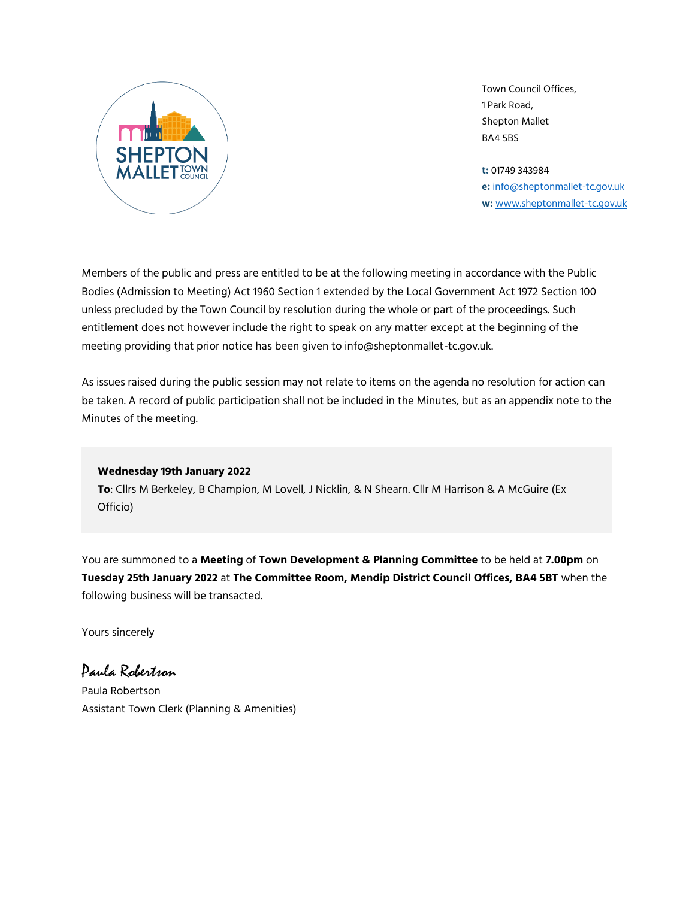

Town Council Offices, 1 Park Road, Shepton Mallet BA4 5BS

**t:** 01749 343984 **e:** [info@sheptonmallet-tc.gov.uk](mailto:info@sheptonmallet-tc.gov.uk) **w:** [www.sheptonmallet-tc.gov.uk](http://www.sheptonmallet-tc.gov.uk/)

Members of the public and press are entitled to be at the following meeting in accordance with the Public Bodies (Admission to Meeting) Act 1960 Section 1 extended by the Local Government Act 1972 Section 100 unless precluded by the Town Council by resolution during the whole or part of the proceedings. Such entitlement does not however include the right to speak on any matter except at the beginning of the meeting providing that prior notice has been given to info@sheptonmallet-tc.gov.uk.

As issues raised during the public session may not relate to items on the agenda no resolution for action can be taken. A record of public participation shall not be included in the Minutes, but as an appendix note to the Minutes of the meeting.

#### **Wednesday 19th January 2022**

**To**: Cllrs M Berkeley, B Champion, M Lovell, J Nicklin, & N Shearn. Cllr M Harrison & A McGuire (Ex Officio)

You are summoned to a **Meeting** of **Town Development & Planning Committee** to be held at **7.00pm** on **Tuesday 25th January 2022** at **The Committee Room, Mendip District Council Offices, BA4 5BT** when the following business will be transacted.

Yours sincerely

Paula Robertson Paula Robertson Assistant Town Clerk (Planning & Amenities)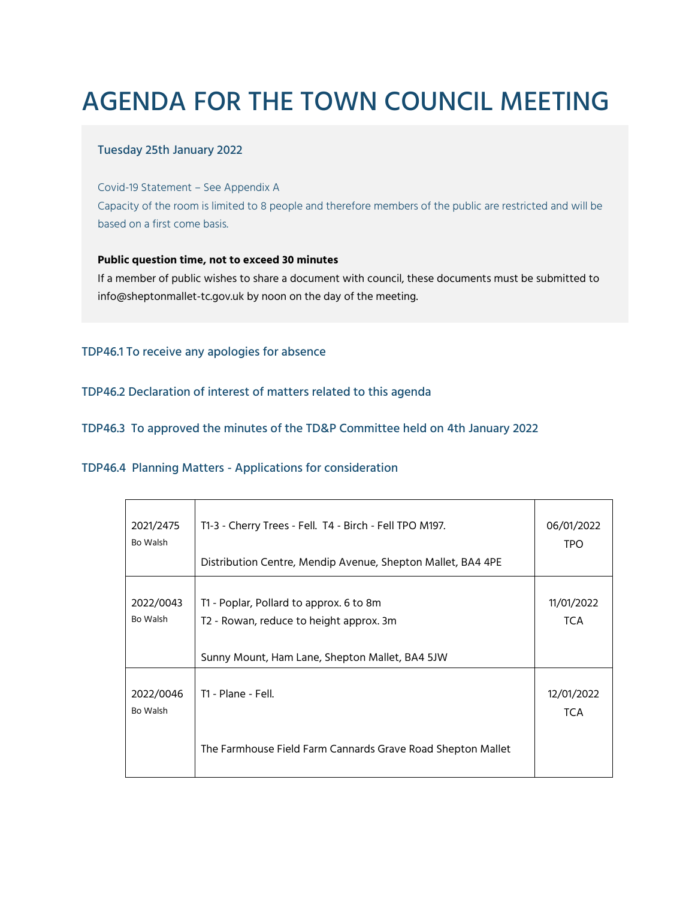# AGENDA FOR THE TOWN COUNCIL MEETING

## Tuesday 25th January 2022

Covid-19 Statement – See Appendix A Capacity of the room is limited to 8 people and therefore members of the public are restricted and will be based on a first come basis.

### **Public question time, not to exceed 30 minutes**

If a member of public wishes to share a document with council, these documents must be submitted to info@sheptonmallet-tc.gov.uk by noon on the day of the meeting.

## TDP46.1 To receive any apologies for absence

TDP46.2 Declaration of interest of matters related to this agenda

TDP46.3 To approved the minutes of the TD&P Committee held on 4th January 2022

TDP46.4 Planning Matters - Applications for consideration

| 2021/2475<br>Bo Walsh | T1-3 - Cherry Trees - Fell. T4 - Birch - Fell TPO M197.<br>Distribution Centre, Mendip Avenue, Shepton Mallet, BA4 4PE               | 06/01/2022<br>TPO.       |
|-----------------------|--------------------------------------------------------------------------------------------------------------------------------------|--------------------------|
| 2022/0043<br>Bo Walsh | T1 - Poplar, Pollard to approx. 6 to 8m<br>T2 - Rowan, reduce to height approx. 3m<br>Sunny Mount, Ham Lane, Shepton Mallet, BA4 5JW | 11/01/2022<br><b>TCA</b> |
| 2022/0046<br>Bo Walsh | T1 - Plane - Fell.                                                                                                                   | 12/01/2022<br><b>TCA</b> |
|                       | The Farmhouse Field Farm Cannards Grave Road Shepton Mallet                                                                          |                          |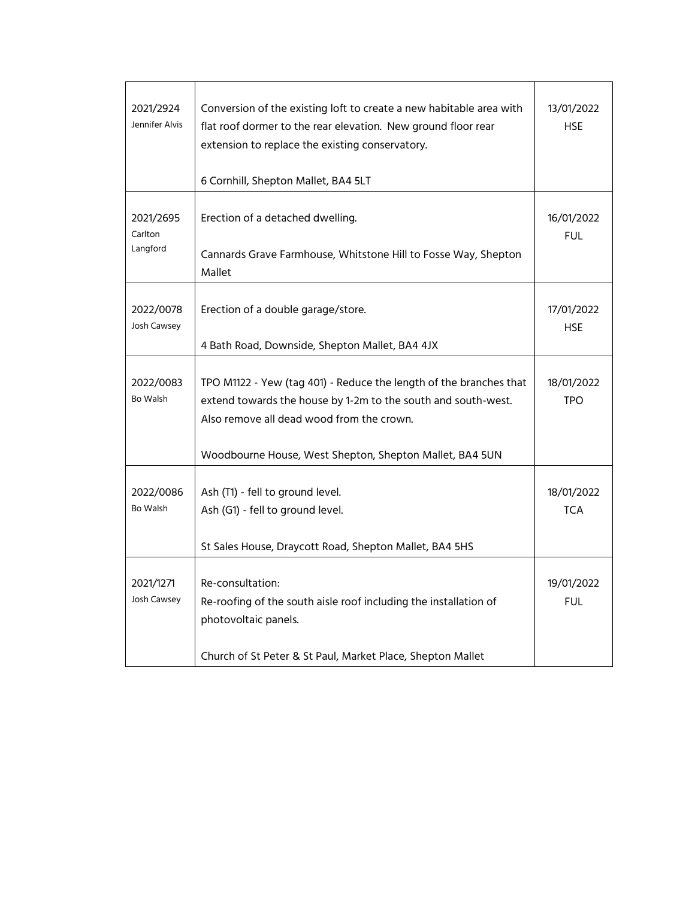| 2021/2924<br>Jennifer Alvis      | Conversion of the existing loft to create a new habitable area with<br>flat roof dormer to the rear elevation. New ground floor rear<br>extension to replace the existing conservatory.<br>6 Cornhill, Shepton Mallet, BA4 5LT              | 13/01/2022<br><b>HSE</b> |
|----------------------------------|---------------------------------------------------------------------------------------------------------------------------------------------------------------------------------------------------------------------------------------------|--------------------------|
| 2021/2695<br>Carlton<br>Langford | Erection of a detached dwelling.<br>Cannards Grave Farmhouse, Whitstone Hill to Fosse Way, Shepton<br>Mallet                                                                                                                                | 16/01/2022<br><b>FUL</b> |
| 2022/0078<br>Josh Cawsey         | Erection of a double garage/store.<br>4 Bath Road, Downside, Shepton Mallet, BA4 4JX                                                                                                                                                        | 17/01/2022<br><b>HSE</b> |
| 2022/0083<br>Bo Walsh            | TPO M1122 - Yew (tag 401) - Reduce the length of the branches that<br>extend towards the house by 1-2m to the south and south-west.<br>Also remove all dead wood from the crown.<br>Woodbourne House, West Shepton, Shepton Mallet, BA4 5UN | 18/01/2022<br><b>TPO</b> |
| 2022/0086<br>Bo Walsh            | Ash (T1) - fell to ground level.<br>Ash (G1) - fell to ground level.<br>St Sales House, Draycott Road, Shepton Mallet, BA4 5HS                                                                                                              | 18/01/2022<br><b>TCA</b> |
| 2021/1271<br>Josh Cawsey         | Re-consultation:<br>Re-roofing of the south aisle roof including the installation of<br>photovoltaic panels.<br>Church of St Peter & St Paul, Market Place, Shepton Mallet                                                                  | 19/01/2022<br><b>FUL</b> |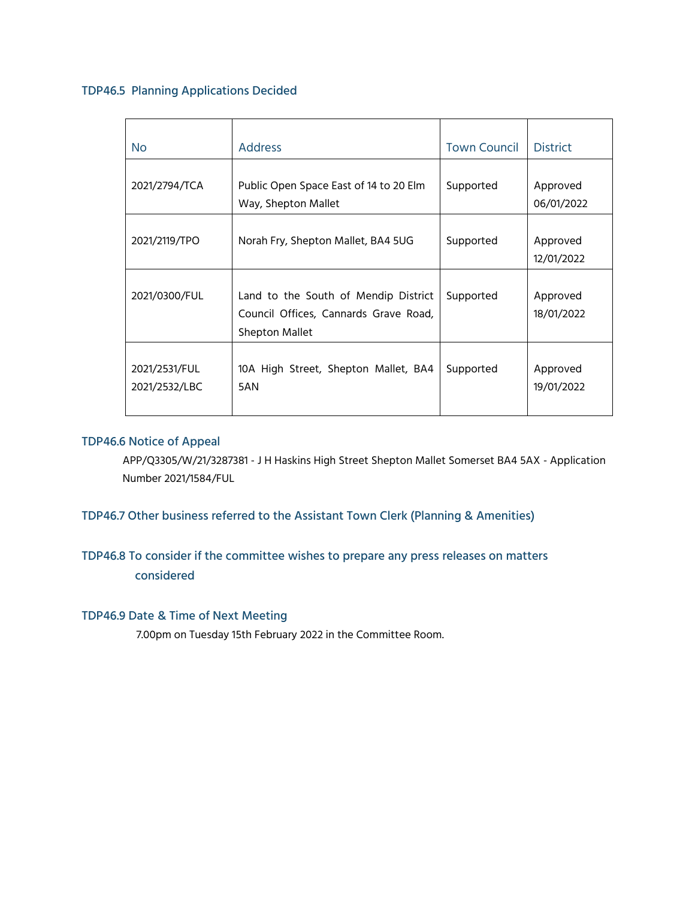## TDP46.5 Planning Applications Decided

| No.                            | <b>Address</b>                                                                                  | <b>Town Council</b> | <b>District</b>        |
|--------------------------------|-------------------------------------------------------------------------------------------------|---------------------|------------------------|
|                                |                                                                                                 |                     |                        |
| 2021/2794/TCA                  | Public Open Space East of 14 to 20 Elm<br>Way, Shepton Mallet                                   | Supported           | Approved<br>06/01/2022 |
| 2021/2119/TPO                  | Norah Fry, Shepton Mallet, BA4 5UG                                                              | Supported           | Approved<br>12/01/2022 |
| 2021/0300/FUL                  | Land to the South of Mendip District<br>Council Offices, Cannards Grave Road,<br>Shepton Mallet | Supported           | Approved<br>18/01/2022 |
| 2021/2531/FUL<br>2021/2532/LBC | 10A High Street, Shepton Mallet, BA4<br>5AN                                                     | Supported           | Approved<br>19/01/2022 |

## TDP46.6 Notice of Appeal

APP/Q3305/W/21/3287381 - J H Haskins High Street Shepton Mallet Somerset BA4 5AX - Application Number 2021/1584/FUL

TDP46.7 Other business referred to the Assistant Town Clerk (Planning & Amenities)

## TDP46.8 To consider if the committee wishes to prepare any press releases on matters considered

## TDP46.9 Date & Time of Next Meeting

7.00pm on Tuesday 15th February 2022 in the Committee Room.